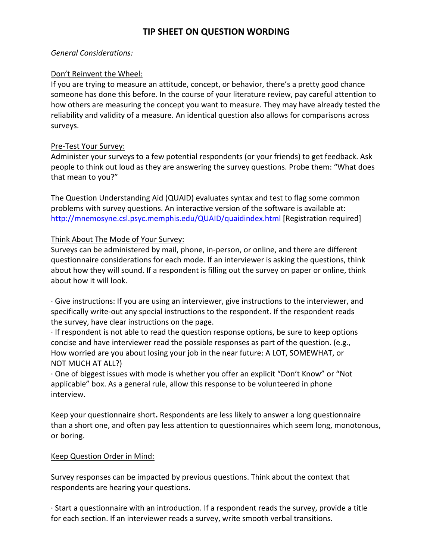# **TIP SHEET ON QUESTION WORDING**

### *General Considerations:*

### Don't Reinvent the Wheel:

If you are trying to measure an attitude, concept, or behavior, there's a pretty good chance someone has done this before. In the course of your literature review, pay careful attention to how others are measuring the concept you want to measure. They may have already tested the reliability and validity of a measure. An identical question also allows for comparisons across surveys.

### Pre-Test Your Survey:

Administer your surveys to a few potential respondents (or your friends) to get feedback. Ask people to think out loud as they are answering the survey questions. Probe them: "What does that mean to you?"

The Question Understanding Aid (QUAID) evaluates syntax and test to flag some common problems with survey questions. An interactive version of the software is available at: http://mnemosyne.csl.psyc.memphis.edu/QUAID/quaidindex.html [Registration required]

## Think About The Mode of Your Survey:

Surveys can be administered by mail, phone, in-person, or online, and there are different questionnaire considerations for each mode. If an interviewer is asking the questions, think about how they will sound. If a respondent is filling out the survey on paper or online, think about how it will look.

· Give instructions: If you are using an interviewer, give instructions to the interviewer, and specifically write-out any special instructions to the respondent. If the respondent reads the survey, have clear instructions on the page.

· If respondent is not able to read the question response options, be sure to keep options concise and have interviewer read the possible responses as part of the question. (e.g., How worried are you about losing your job in the near future: A LOT, SOMEWHAT, or NOT MUCH AT ALL?)

· One of biggest issues with mode is whether you offer an explicit "Don't Know" or "Not applicable" box. As a general rule, allow this response to be volunteered in phone interview.

Keep your questionnaire short**.** Respondents are less likely to answer a long questionnaire than a short one, and often pay less attention to questionnaires which seem long, monotonous, or boring.

## Keep Question Order in Mind:

Survey responses can be impacted by previous questions. Think about the context that respondents are hearing your questions.

· Start a questionnaire with an introduction. If a respondent reads the survey, provide a title for each section. If an interviewer reads a survey, write smooth verbal transitions.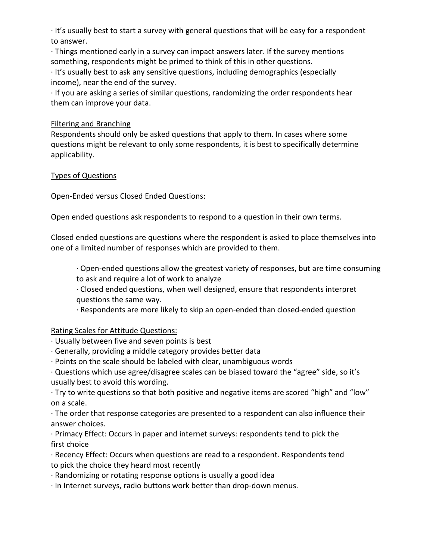· It's usually best to start a survey with general questions that will be easy for a respondent to answer.

· Things mentioned early in a survey can impact answers later. If the survey mentions something, respondents might be primed to think of this in other questions.

· It's usually best to ask any sensitive questions, including demographics (especially income), near the end of the survey.

· If you are asking a series of similar questions, randomizing the order respondents hear them can improve your data.

## Filtering and Branching

Respondents should only be asked questions that apply to them. In cases where some questions might be relevant to only some respondents, it is best to specifically determine applicability.

### Types of Questions

Open-Ended versus Closed Ended Questions:

Open ended questions ask respondents to respond to a question in their own terms.

Closed ended questions are questions where the respondent is asked to place themselves into one of a limited number of responses which are provided to them.

· Open-ended questions allow the greatest variety of responses, but are time consuming

to ask and require a lot of work to analyze

· Closed ended questions, when well designed, ensure that respondents interpret questions the same way.

· Respondents are more likely to skip an open-ended than closed-ended question

## Rating Scales for Attitude Questions:

- · Usually between five and seven points is best
- · Generally, providing a middle category provides better data
- · Points on the scale should be labeled with clear, unambiguous words

· Questions which use agree/disagree scales can be biased toward the "agree" side, so it's usually best to avoid this wording.

· Try to write questions so that both positive and negative items are scored "high" and "low" on a scale.

· The order that response categories are presented to a respondent can also influence their answer choices.

· Primacy Effect: Occurs in paper and internet surveys: respondents tend to pick the first choice

· Recency Effect: Occurs when questions are read to a respondent. Respondents tend to pick the choice they heard most recently

· Randomizing or rotating response options is usually a good idea

· In Internet surveys, radio buttons work better than drop-down menus.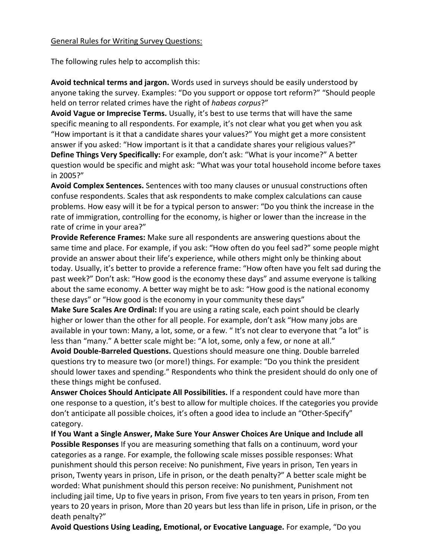#### General Rules for Writing Survey Questions:

The following rules help to accomplish this:

**Avoid technical terms and jargon.** Words used in surveys should be easily understood by anyone taking the survey. Examples: "Do you support or oppose tort reform?" "Should people held on terror related crimes have the right of *habeas corpus*?"

**Avoid Vague or Imprecise Terms.** Usually, it's best to use terms that will have the same specific meaning to all respondents. For example, it's not clear what you get when you ask "How important is it that a candidate shares your values?" You might get a more consistent answer if you asked: "How important is it that a candidate shares your religious values?"

**Define Things Very Specifically:** For example, don't ask: "What is your income?" A better question would be specific and might ask: "What was your total household income before taxes in 2005?"

**Avoid Complex Sentences.** Sentences with too many clauses or unusual constructions often confuse respondents. Scales that ask respondents to make complex calculations can cause problems. How easy will it be for a typical person to answer: "Do you think the increase in the rate of immigration, controlling for the economy, is higher or lower than the increase in the rate of crime in your area?"

**Provide Reference Frames:** Make sure all respondents are answering questions about the same time and place. For example, if you ask: "How often do you feel sad?" some people might provide an answer about their life's experience, while others might only be thinking about today. Usually, it's better to provide a reference frame: "How often have you felt sad during the past week?" Don't ask: "How good is the economy these days" and assume everyone is talking about the same economy. A better way might be to ask: "How good is the national economy these days" or "How good is the economy in your community these days"

**Make Sure Scales Are Ordinal:** If you are using a rating scale, each point should be clearly higher or lower than the other for all people. For example, don't ask "How many jobs are available in your town: Many, a lot, some, or a few. " It's not clear to everyone that "a lot" is less than "many." A better scale might be: "A lot, some, only a few, or none at all."

**Avoid Double-Barreled Questions.** Questions should measure one thing. Double barreled questions try to measure two (or more!) things. For example: "Do you think the president should lower taxes and spending." Respondents who think the president should do only one of these things might be confused.

**Answer Choices Should Anticipate All Possibilities.** If a respondent could have more than one response to a question, it's best to allow for multiple choices. If the categories you provide don't anticipate all possible choices, it's often a good idea to include an "Other-Specify" category.

**If You Want a Single Answer, Make Sure Your Answer Choices Are Unique and Include all Possible Responses** If you are measuring something that falls on a continuum, word your categories as a range. For example, the following scale misses possible responses: What punishment should this person receive: No punishment, Five years in prison, Ten years in prison, Twenty years in prison, Life in prison, or the death penalty?" A better scale might be worded: What punishment should this person receive: No punishment, Punishment not including jail time, Up to five years in prison, From five years to ten years in prison, From ten years to 20 years in prison, More than 20 years but less than life in prison, Life in prison, or the death penalty?"

**Avoid Questions Using Leading, Emotional, or Evocative Language.** For example, "Do you